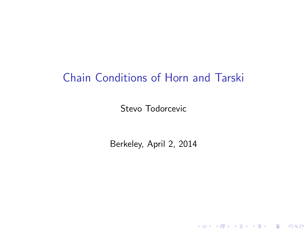## Chain Conditions of Horn and Tarski

Stevo Todorcevic

Berkeley, April 2, 2014

K ロ ▶ K @ ▶ K 할 ▶ K 할 ▶ | 할 | ⊙Q @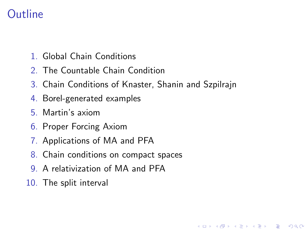# **Outline**

- 1. Global Chain Conditions
- 2. The Countable Chain Condition
- 3. Chain Conditions of Knaster, Shanin and Szpilrajn

**KORK STRAIN A BAR SHOP** 

- 4. Borel-generated examples
- 5. Martin's axiom
- 6. Proper Forcing Axiom
- 7. Applications of MA and PFA
- 8. Chain conditions on compact spaces
- 9. A relativization of MA and PFA
- 10. The split interval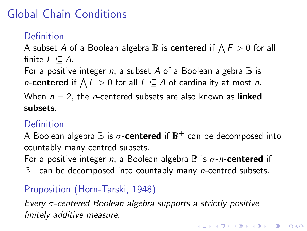# Global Chain Conditions

### Definition

A subset A of a Boolean algebra  $\mathbb B$  is  $\mathsf{centered}$  if  $\bigwedge \varGamma>0$  for all finite  $F \subset A$ .

For a positive integer n, a subset A of a Boolean algebra  $\mathbb B$  is *n*-centered if  $\bigwedge F > 0$  for all  $F \subseteq A$  of cardinality at most *n*.

When  $n = 2$ , the *n*-centered subsets are also known as **linked** subsets.

#### **Definition**

A Boolean algebra  $\mathbb B$  is  $\sigma\text{-}$ <mark>centered</mark> if  $\mathbb B^+$  can be decomposed into countably many centred subsets.

For a positive integer n, a Boolean algebra  $\mathbb B$  is  $\sigma$ -n-centered if  $\mathbb{B}^+$  can be decomposed into countably many *n*-centred subsets.

### Proposition (Horn-Tarski, 1948)

Every σ-centered Boolean algebra supports a strictly positive finitely additive measure.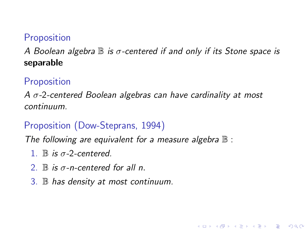#### **Proposition**

A Boolean algebra  $\mathbb B$  is  $\sigma$ -centered if and only if its Stone space is separable

#### **Proposition**

 $A \sigma$ -2-centered Boolean algebras can have cardinality at most continuum.

**KORK ERKER ADE YOUR** 

### Proposition (Dow-Steprans, 1994)

The following are equivalent for a measure algebra  $\mathbb B$  :

- 1.  $\mathbb B$  is  $\sigma$ -2-centered.
- 2.  $\mathbb B$  is  $\sigma$ -n-centered for all n.
- 3. B has density at most continuum.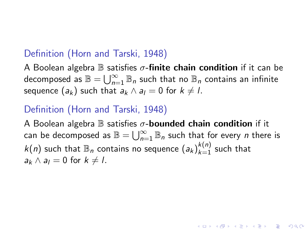#### Definition (Horn and Tarski, 1948)

A Boolean algebra  $\mathbb B$  satisfies  $\sigma$ -finite chain condition if it can be decomposed as  $\mathbb{B}=\bigcup_{n=1}^\infty \mathbb{B}_n$  such that no  $\mathbb{B}_n$  contains an infinite sequence  $(a_k)$  such that  $a_k \wedge a_l = 0$  for  $k \neq l$ .

#### Definition (Horn and Tarski, 1948)

A Boolean algebra  $\mathbb B$  satisfies  $\sigma$ -bounded chain condition if it can be decomposed as  $\mathbb{B}=\bigcup_{n=1}^\infty \mathbb{B}_n$  such that for every  $n$  there is  $k(n)$  such that  $\mathbb{B}_n$  contains no sequence  $(a_k)_{k=1}^{k(n)}$  such that  $a_k \wedge a_l = 0$  for  $k \neq l$ .

**KORKAR KERKER EL VOLO**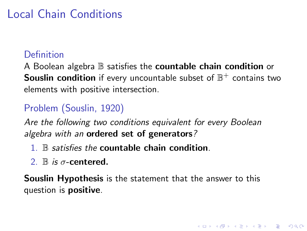# Local Chain Conditions

#### Definition

A Boolean algebra  $\mathbb B$  satisfies the **countable chain condition** or Souslin condition if every uncountable subset of  $\mathbb{B}^+$  contains two elements with positive intersection.

### Problem (Souslin, 1920)

Are the following two conditions equivalent for every Boolean algebra with an ordered set of generators?

- 1. B satisfies the countable chain condition.
- 2.  $\mathbb B$  is  $\sigma$ -centered.

Souslin Hypothesis is the statement that the answer to this question is positive.

**KORK ERKER ADE YOUR**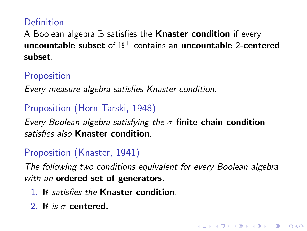#### Definition

A Boolean algebra  $\mathbb B$  satisfies the **Knaster condition** if every uncountable subset of  $\mathbb{B}^+$  contains an uncountable 2-centered subset.

#### **Proposition**

Every measure algebra satisfies Knaster condition.

#### Proposition (Horn-Tarski, 1948)

Every Boolean algebra satisfying the  $\sigma$ -finite chain condition satisfies also Knaster condition

### Proposition (Knaster, 1941)

The following two conditions equivalent for every Boolean algebra with an ordered set of generators:

**KORK ERKER ADE YOUR** 

- 1. B satisfies the Knaster condition.
- 2.  $\mathbb B$  is  $\sigma$ -centered.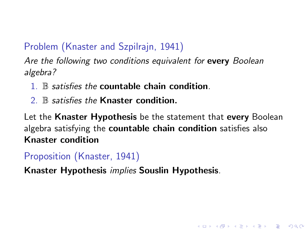### Problem (Knaster and Szpilrajn, 1941)

Are the following two conditions equivalent for every Boolean algebra?

- $1 \times$  satisfies the countable chain condition.
- $2<sup>8</sup>$  satisfies the Knaster condition.

Let the Knaster Hypothesis be the statement that every Boolean algebra satisfying the countable chain condition satisfies also Knaster condition

**KORK ERKER ADE YOUR** 

### Proposition (Knaster, 1941)

Knaster Hypothesis implies Souslin Hypothesis.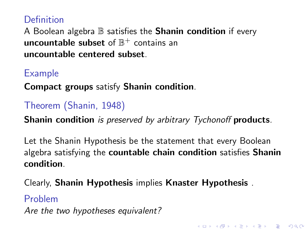#### Definition

A Boolean algebra  $\mathbb B$  satisfies the **Shanin condition** if every uncountable subset of  $\mathbb{B}^+$  contains an uncountable centered subset.

#### Example

Compact groups satisfy Shanin condition.

#### Theorem (Shanin, 1948)

**Shanin condition** is preserved by arbitrary Tychonoff **products**.

Let the Shanin Hypothesis be the statement that every Boolean algebra satisfying the countable chain condition satisfies Shanin condition.

4 D > 4 P + 4 B + 4 B + B + 9 Q O

Clearly, Shanin Hypothesis implies Knaster Hypothesis .

#### Problem

Are the two hypotheses equivalent?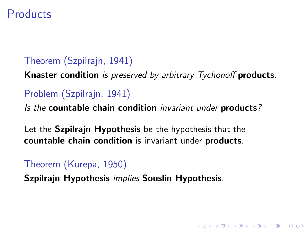### **Products**

#### Theorem (Szpilrajn, 1941)

Knaster condition is preserved by arbitrary Tychonoff products.

4 D > 4 P + 4 B + 4 B + B + 9 Q O

### Problem (Szpilrajn, 1941)

Is the countable chain condition invariant under products?

Let the Szpilrajn Hypothesis be the hypothesis that the countable chain condition is invariant under products.

#### Theorem (Kurepa, 1950)

Szpilrajn Hypothesis implies Souslin Hypothesis.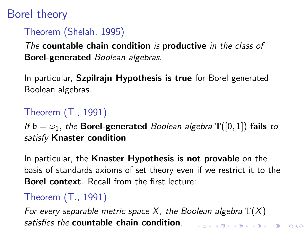# Borel theory

### Theorem (Shelah, 1995)

The countable chain condition is productive in the class of Borel-generated Boolean algebras.

In particular, Szpilrajn Hypothesis is true for Borel generated Boolean algebras.

# Theorem (T., 1991)

If  $\mathfrak{b} = \omega_1$ , the **Borel-generated** Boolean algebra  $\mathbb{T}([0,1])$  fails to satisfy Knaster condition

In particular, the Knaster Hypothesis is not provable on the basis of standards axioms of set theory even if we restrict it to the Borel context. Recall from the first lecture:

# Theorem (T., 1991)

For every separable metric space X, the Boolean algebra  $\mathbb{T}(X)$ satisfies the countable chain condition.4 D > 4 P + 4 B + 4 B + B + 9 Q O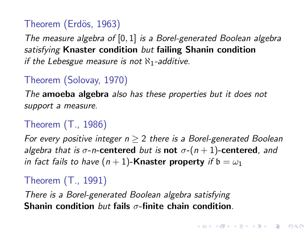### Theorem (Erdös, 1963)

The measure algebra of  $[0, 1]$  is a Borel-generated Boolean algebra satisfying Knaster condition but failing Shanin condition if the Lebesgue measure is not  $\aleph_1$ -additive.

### Theorem (Solovay, 1970)

The amoeba algebra also has these properties but it does not support a measure.

### Theorem (T., 1986)

For every positive integer  $n > 2$  there is a Borel-generated Boolean algebra that is  $\sigma$ -n-centered but is not  $\sigma$ - $(n+1)$ -centered, and in fact fails to have  $(n + 1)$ -Knaster property if  $b = \omega_1$ 

#### Theorem (T., 1991)

There is a Borel-generated Boolean algebra satisfying Shanin condition but fails  $\sigma$ -finite chain condition.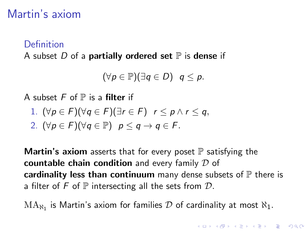# Martin's axiom

#### Definition

A subset  $D$  of a **partially ordered set**  $\mathbb P$  is **dense** if

$$
(\forall p\in\mathbb{P})(\exists q\in D)\ \ q\leq p.
$$

A subset  $F$  of  $\mathbb P$  is a **filter** if

1. 
$$
(\forall p \in F)(\forall q \in F)(\exists r \in F)
$$
  $r \leq p \land r \leq q$ ,

2. 
$$
(\forall p \in F)(\forall q \in \mathbb{P})
$$
  $p \leq q \rightarrow q \in F$ .

**Martin's axiom** asserts that for every poset  $\mathbb P$  satisfying the countable chain condition and every family  $D$  of cardinality less than continuum many dense subsets of  $\mathbb P$  there is a filter of F of  $\mathbb P$  intersecting all the sets from  $\mathcal D$ .

 $\text{MA}_{\aleph_1}$  is Martin's axiom for families  $\mathcal D$  of cardinality at most  $\aleph_1.$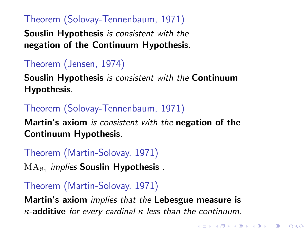#### Theorem (Solovay-Tennenbaum, 1971)

Souslin Hypothesis is consistent with the negation of the Continuum Hypothesis.

### Theorem (Jensen, 1974)

Souslin Hypothesis is consistent with the Continuum Hypothesis.

### Theorem (Solovay-Tennenbaum, 1971)

Martin's axiom is consistent with the negation of the Continuum Hypothesis.

# Theorem (Martin-Solovay, 1971)

 $\mathrm{MA}_{\aleph_1}$  *implies* Souslin Hypothesis .

### Theorem (Martin-Solovay, 1971)

Martin's axiom *implies that the* Lebesgue measure is  $\kappa$ -additive for every cardinal  $\kappa$  less than the continuum.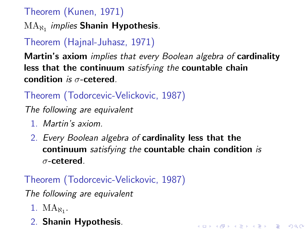### Theorem (Kunen, 1971)

 $\mathrm{MA}_{\aleph_{1}}$  *implies* Shanin Hypothesis.

# Theorem (Hajnal-Juhasz, 1971)

Martin's axiom *implies that every Boolean algebra of* cardinality less that the continuum satisfying the countable chain condition is  $\sigma$ -cetered.

### Theorem (Todorcevic-Velickovic, 1987)

The following are equivalent

- 1. Martin's axiom.
- 2. Every Boolean algebra of cardinality less that the continuum satisfying the countable chain condition is σ-cetered.

KID KA KERKER KID KO

### Theorem (Todorcevic-Velickovic, 1987)

The following are equivalent

- 1.  $MA_{N_1}$ .
- 2. Shanin Hypothesis.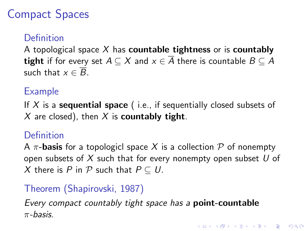# Compact Spaces

### Definition

A topological space  $X$  has **countable tightness** or is **countably tight** if for every set  $A \subseteq X$  and  $x \in \overline{A}$  there is countable  $B \subseteq A$ such that  $x \in \overline{B}$ .

#### Example

If X is a **sequential space** (i.e., if sequentially closed subsets of  $X$  are closed), then  $X$  is **countably tight**.

#### Definition

A  $\pi$ -**basis** for a topologicl space X is a collection P of nonempty open subsets of X such that for every nonempty open subset  $U$  of X there is P in P such that  $P \subseteq U$ .

4 D > 4 P + 4 B + 4 B + B + 9 Q O

### Theorem (Shapirovski, 1987)

Every compact countably tight space has a point-countable  $\pi$ -basis.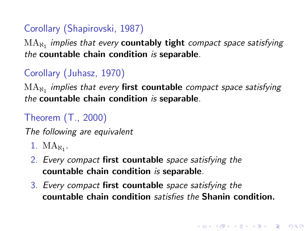### Corollary (Shapirovski, 1987)

 $\mathrm{MA}_{\aleph_{1}}$  implies that every  $\mathsf{countably}\ \mathsf{tight}\ \mathsf{compact}\ \mathsf{space}\ \mathsf{satisfying}$ the countable chain condition is separable.

### Corollary (Juhasz, 1970)

 $\mathrm{MA}_{\aleph_{1}}$  implies that every **first countable** compact space satisfying the countable chain condition is separable.

# Theorem (T., 2000)

The following are equivalent

- 1.  $MA_{\aleph_1}$ .
- 2. Every compact first countable space satisfying the countable chain condition is separable.
- 3. Every compact first countable space satisfying the countable chain condition satisfies the Shanin condition.

**KORKAR KERKER EL VOLO**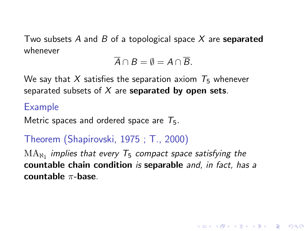Two subsets A and B of a topological space X are separated whenever

$$
\overline{A}\cap B=\emptyset=A\cap\overline{B}.
$$

We say that X satisfies the separation axiom  $T_5$  whenever separated subsets of  $X$  are separated by open sets.

#### Example

Metric spaces and ordered space are  $T_5$ .

### Theorem (Shapirovski, 1975 ; T., 2000)

 $\rm MA_{\aleph_1}$  implies that every  $\rm \tau_5$  compact space satisfying the countable chain condition is separable and, in fact, has a countable  $\pi$ -base.

**KORK ERKER ADE YOUR**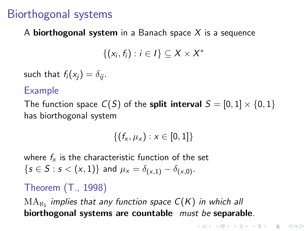## Biorthogonal systems

#### A **biorthogonal system** in a Banach space  $X$  is a sequence

$$
\{(x_i,f_i): i\in I\}\subseteq X\times X^*
$$

such that  $f_i(x_i) = \delta_{ii}$ .

#### Example

The function space  $C(S)$  of the **split interval**  $S = [0, 1] \times \{0, 1\}$ has biorthogonal system

$$
\{(f_x,\mu_x): x \in [0,1]\}
$$

where  $f_{x}$  is the characteristic function of the set  $\{s \in S : s < (x, 1)\}\$ and  $\mu_x = \delta_{(x, 1)} - \delta_{(x, 0)}$ .

#### Theorem (T., 1998)

 $\mathrm{MA}_{\aleph_1}$  implies that any function space  $\mathsf{C}(\mathsf{K})$  in which all biorthogonal systems are countable *must be* separable.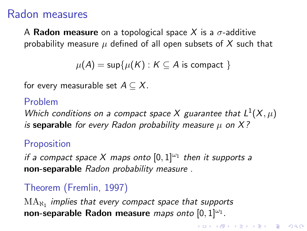## Radon measures

A Radon measure on a topological space X is a  $\sigma$ -additive probability measure  $\mu$  defined of all open subsets of X such that

```
\mu(A) = \sup \{ \mu(K) : K \subseteq A \text{ is compact } \}
```
for every measurable set  $A \subseteq X$ .

### Problem

Which conditions on a compact space X guarantee that  $L^1(X,\mu)$ is separable for every Radon probability measure  $\mu$  on X?

**K ロ ▶ K @ ▶ K 할 X X 할 X → 할 X → 9 Q Q ^** 

### **Proposition**

if a compact space X maps onto  $[0,1]^{w_1}$  then it supports a non-separable Radon probability measure .

### Theorem (Fremlin, 1997)

 $\mathrm{MA}_{\aleph_1}$  implies that every compact space that supports non-separable Radon measure *maps onto*  $[0,1]^{|\omega_1}$ .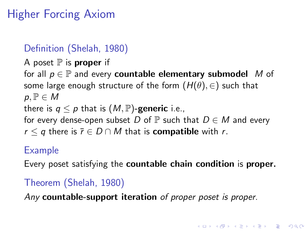# Higher Forcing Axiom

### Definition (Shelah, 1980)

A poset  $\mathbb P$  is **proper** if

for all  $p \in \mathbb{P}$  and every **countable elementary submodel** M of some large enough structure of the form  $(H(\theta), \in)$  such that  $p, \mathbb{P} \in M$ there is  $q \leq p$  that is  $(M, \mathbb{P})$ -generic i.e., for every dense-open subset D of  $\mathbb P$  such that  $D \in M$  and every  $r \leq q$  there is  $\bar{r} \in D \cap M$  that is **compatible** with r.

#### Example

Every poset satisfying the **countable chain condition** is **proper.** 

**K ロ ▶ K @ ▶ K 할 X X 할 X → 할 X → 9 Q Q ^** 

### Theorem (Shelah, 1980)

Any countable-support iteration of proper poset is proper.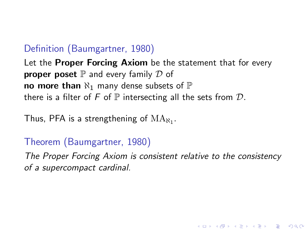#### Definition (Baumgartner, 1980)

Let the **Proper Forcing Axiom** be the statement that for every **proper poset**  $\mathbb P$  and every family  $\mathcal D$  of no more than  $\aleph_1$  many dense subsets of  $\mathbb P$ there is a filter of F of  $\mathbb P$  intersecting all the sets from  $\mathcal D$ .

Thus, PFA is a strengthening of  $\mathrm{MA}_{\aleph_1}.$ 

#### Theorem (Baumgartner, 1980)

The Proper Forcing Axiom is consistent relative to the consistency of a supercompact cardinal.

**KORK ERKER ADE YOUR**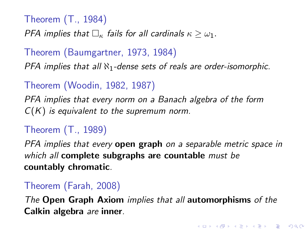Theorem (T., 1984)

PFA implies that  $\Box_{\kappa}$  fails for all cardinals  $\kappa > \omega_1$ .

Theorem (Baumgartner, 1973, 1984)

PFA implies that all  $\aleph_1$ -dense sets of reals are order-isomorphic.

Theorem (Woodin, 1982, 1987)

PFA implies that every norm on a Banach algebra of the form  $C(K)$  is equivalent to the supremum norm.

#### Theorem (T., 1989)

PFA implies that every **open graph** on a separable metric space in which all **complete subgraphs are countable** must be countably chromatic.

#### Theorem (Farah, 2008)

The Open Graph Axiom implies that all automorphisms of the Calkin algebra are inner.

4 D > 4 P + 4 B + 4 B + B + 9 Q O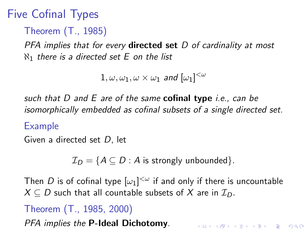# Five Cofinal Types

Theorem (T., 1985)

PFA implies that for every **directed set**  $D$  of cardinality at most  $\aleph_1$  there is a directed set E on the list

 $1, \omega, \omega_1, \omega \times \omega_1$  and  $[\omega_1]^{<\omega}$ 

such that  $D$  and  $E$  are of the same **cofinal type** *i.e., can be* isomorphically embedded as cofinal subsets of a single directed set.

#### Example

Given a directed set D, let

 $\mathcal{I}_D = \{A \subseteq D : A \text{ is strongly unbounded}\}.$ 

Then  $D$  is of cofinal type  $[\omega_1]^{<\omega}$  if and only if there is uncountable  $X \subseteq D$  such that all countable subsets of X are in  $\mathcal{I}_D$ .

4 D > 4 P + 4 B + 4 B + B + 9 Q O

# Theorem (T., 1985, 2000)

PFA implies the P-Ideal Dichotomy.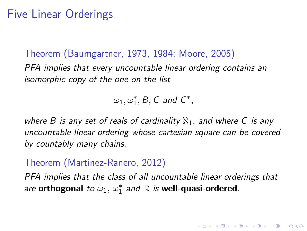### Five Linear Orderings

Theorem (Baumgartner, 1973, 1984; Moore, 2005) PFA implies that every uncountable linear ordering contains an isomorphic copy of the one on the list

 $\omega_1, \omega_1^*, B, C$  and  $C^*,$ 

where B is any set of reals of cardinality  $\aleph_1$ , and where C is any uncountable linear ordering whose cartesian square can be covered by countably many chains.

#### Theorem (Martinez-Ranero, 2012)

PFA implies that the class of all uncountable linear orderings that are orthogonal to  $\omega_1, \omega_1^*$  and  $\mathbb R$  is well-quasi-ordered.

4 D > 4 P + 4 B + 4 B + B + 9 Q O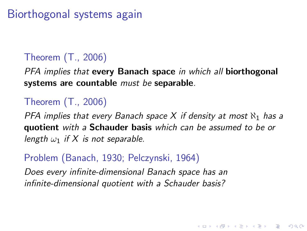# Biorthogonal systems again

### Theorem (T., 2006)

PFA implies that every Banach space in which all biorthogonal systems are countable must be separable.

### Theorem (T., 2006)

PFA implies that every Banach space X if density at most  $\aleph_1$  has a quotient with a Schauder basis which can be assumed to be or length  $\omega_1$  if X is not separable.

4 D > 4 P + 4 B + 4 B + B + 9 Q O

#### Problem (Banach, 1930; Pelczynski, 1964)

Does every infinite-dimensional Banach space has an infinite-dimensional quotient with a Schauder basis?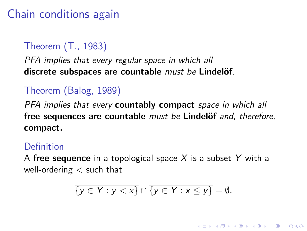# Chain conditions again

### Theorem (T., 1983)

#### PFA implies that every regular space in which all discrete subspaces are countable  $must be$  Lindelöf.

### Theorem (Balog, 1989)

PFA implies that every **countably compact** space in which all free sequences are countable must be Lindelöf and, therefore, compact.

#### Definition

A free sequence in a topological space X is a subset Y with a well-ordering  $<$  such that

$$
\overline{\{y\in Y:y
$$

**K ロ ▶ K @ ▶ K 할 X X 할 X → 할 X → 9 Q Q ^**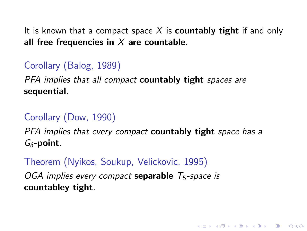It is known that a compact space X is **countably tight** if and only all free frequencies in  $X$  are countable.

## Corollary (Balog, 1989)

PFA implies that all compact **countably tight** spaces are sequential.

### Corollary (Dow, 1990)

PFA implies that every compact **countably tight** space has a  $G_{\delta}$ -point.

**K ロ ▶ K @ ▶ K 할 X X 할 X → 할 X → 9 Q Q ^** 

Theorem (Nyikos, Soukup, Velickovic, 1995) OGA implies every compact separable  $T_5$ -space is countabley tight.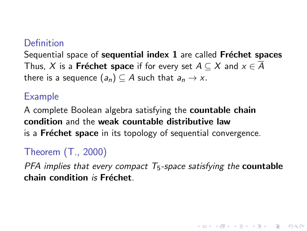### Definition

Sequential space of sequential index  $1$  are called Fréchet spaces Thus, X is a **Fréchet space** if for every set  $A \subseteq X$  and  $x \in A$ there is a sequence  $(a_n) \subseteq A$  such that  $a_n \to x$ .

#### Example

A complete Boolean algebra satisfying the **countable chain** condition and the weak countable distributive law is a **Fréchet space** in its topology of sequential convergence.

### Theorem (T., 2000)

PFA implies that every compact  $T_5$ -space satisfying the **countable**  $chain$  condition is Fréchet.

4 D > 4 P + 4 B + 4 B + B + 9 Q O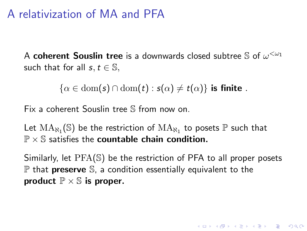## A relativization of MA and PFA

A coherent Souslin tree is a downwards closed subtree  $\mathbb S$  of  $\omega^{<\omega_1}$ such that for all  $s, t \in \mathbb{S}$ ,

 $\{\alpha \in \text{dom}(s) \cap \text{dom}(t) : s(\alpha) \neq t(\alpha)\}\$ is finite.

Fix a coherent Souslin tree S from now on.

Let  $\mathrm{MA}_{\aleph_1}(\mathbb{S})$  be the restriction of  $\mathrm{MA}_{\aleph_1}$  to posets  $\mathbb P$  such that  $P \times S$  satisfies the countable chain condition.

Similarly, let PFA(S) be the restriction of PFA to all proper posets  $\mathbb P$  that **preserve** S, a condition essentially equivalent to the product  $\mathbb{P} \times \mathbb{S}$  is proper.

**KORKAR KERKER EL VOLO**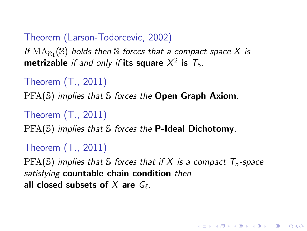### Theorem (Larson-Todorcevic, 2002)

If  $\mathrm{MA}_{\aleph_1}(\mathbb{S})$  holds then  $\mathbb S$  forces that a compact space X is metrizable if and only if its square  $X^2$  is  $T_5$ .

```
Theorem (T., 2011)
```
 $PFA(S)$  implies that S forces the **Open Graph Axiom**.

```
Theorem (T., 2011)
```
 $PFA(\mathbb{S})$  implies that  $\mathbb S$  forces the **P-Ideal Dichotomy**.

```
Theorem (T., 2011)
```
 $PFA(S)$  implies that S forces that if X is a compact  $T_5$ -space satisfying countable chain condition then all closed subsets of X are  $G_{\delta}$ .

**K ロ ▶ K @ ▶ K 할 X X 할 X → 할 X → 9 Q Q ^**